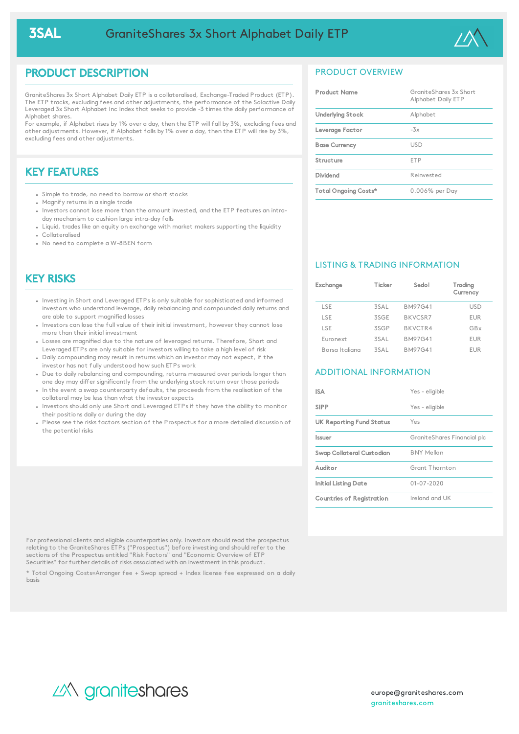

## PRODUCT DESCRIPTION

GraniteShares 3x Short Alphabet Daily ETP is a collateralised, Exchange-Traded Product (ETP). The ETP tracks, excluding fees and other adjustments, the performance of the Solactive Daily Leveraged 3x Short Alphabet Inc Index that seeks to provide -3 times the daily performance of Alphabet shares.

For example, if Alphabet rises by 1% over a day, then the ETP will fall by 3%, excluding fees and other adjustments. However, if Alphabet falls by 1% over a day, then the ETP will rise by 3%, excluding fees and other adjustments.

# KEY FEATURES

- Simple to trade, no need to borrow or short stocks
- Magnify returns in a single trade
- Investors cannot lose more than the amount invested, and the ETP features an intraday mechanism to cushion large intra-day falls
- Liquid, trades like an equity on exchange with market makers supporting the liquidity Collateralised
- No need to complete a W-8BEN form

## KEY RISKS

- Investing in Short and Leveraged ETPs is only suitable for sophisticated and informed investors who understand leverage, daily rebalancing and compounded daily returns and are able to support magnified losses
- Investors can lose the full value of their initial investment, however they cannot lose more than their initial investment
- Losses are magnified due to the nature of leveraged returns. Therefore, Short and Leveraged ETPs are only suitable for investors willing to take a high level of risk
- Daily compounding may result in returns which an investor may not expect, if the investor has not fully understood how such ETPs work
- Due to daily rebalancing and compounding, returns measured over periods longer than one day may differ significantly from the underlying stock return over those periods
- In the event a swap counterparty defaults, the proceeds from the realisation of the collateral may be less than what the investor expects
- . Investors should only use Short and Leveraged ETPs if they have the ability to monitor their positions daily or during the day
- Please see the risks factors section of the Prospectus for a more detailed discussion of the potential risks

### PRODUCT OVERVIEW

| <b>Product Name</b>  | GraniteShares 3x Short<br>Alphabet Daily ETP |
|----------------------|----------------------------------------------|
| Underlying Stock     | Alphabet                                     |
| Leverage Factor      | $-3x$                                        |
| <b>Base Currency</b> | USD.                                         |
| Structure            | <b>FTP</b>                                   |
| Dividend             | Reinvested                                   |
| Total Ongoing Costs* | 0.006% per Day                               |

### LISTING & TRADING INFORMATION

| Exchange       | Ticker | Sedol          | Trading<br>Currency |
|----------------|--------|----------------|---------------------|
| LSE            | 3SAL   | <b>BM97G41</b> | <b>USD</b>          |
| LSE            | 3SGF   | <b>BKVCSR7</b> | <b>EUR</b>          |
| <b>ISF</b>     | 3SGP   | BKVCTR4        | GBx                 |
| Euronext       | 3SAL   | <b>BM97G41</b> | <b>EUR</b>          |
| Borsa Italiana | 3SAI   | <b>BM97G41</b> | EUR                 |

### ADDITIONAL INFORMATION

| <b>ISA</b>                      | Yes - eligible              |
|---------------------------------|-----------------------------|
| <b>SIPP</b>                     | Yes - eligible              |
| <b>UK Reporting Fund Status</b> | Yes                         |
| <i><u><b>Issuer</b></u></i>     | GraniteShares Financial plc |
| Swap Collateral Custodian       | <b>BNY Mellon</b>           |
| Auditor                         | Grant Thornton              |
| Initial Listing Date            | $01 - 07 - 2020$            |
| Countries of Registration       | Ireland and UK              |

For professional clients and eligible counterparties only. Investors should read the prospectus relating to the GraniteShares ETPs ("Prospectus") before investing and should refer to the sections of the Prospectus entitled "Risk Factors" and "Economic Overview of ETP Securities" for further details of risks associated with an investment in this product.

\* Total Ongoing Costs=Arranger fee + Swap spread + Index license fee expressed on a daily basis